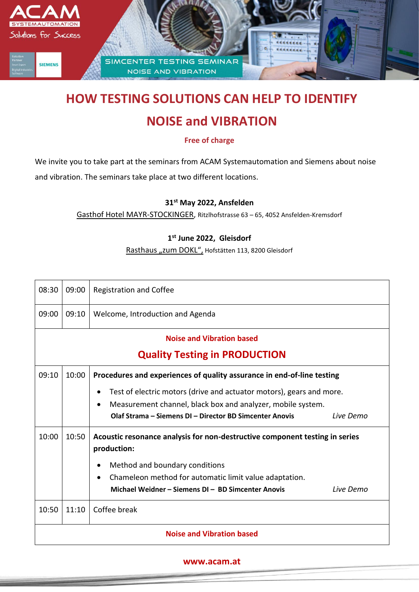

# **HOW TESTING SOLUTIONS CAN HELP TO IDENTIFY**

## **NOISE and VIBRATION**

**Free of charge**

We invite you to take part at the seminars from ACAM Systemautomation and Siemens about noise

and vibration. The seminars take place at two different locations.

#### **31st May 2022, Ansfelden**

Gasthof Hotel MAYR-STOCKINGER, Ritzlhofstrasse 63 – 65, 4052 Ansfelden-Kremsdorf

#### **1 st June 2022, Gleisdorf**

Rasthaus "zum DOKL", Hofstätten 113, 8200 Gleisdorf

| 08:30                                | 09:00 | <b>Registration and Coffee</b>                                                             |  |  |  |
|--------------------------------------|-------|--------------------------------------------------------------------------------------------|--|--|--|
| 09:00                                | 09:10 | Welcome, Introduction and Agenda                                                           |  |  |  |
| <b>Noise and Vibration based</b>     |       |                                                                                            |  |  |  |
| <b>Quality Testing in PRODUCTION</b> |       |                                                                                            |  |  |  |
| 09:10                                | 10:00 | Procedures and experiences of quality assurance in end-of-line testing                     |  |  |  |
|                                      |       | Test of electric motors (drive and actuator motors), gears and more.<br>٠                  |  |  |  |
|                                      |       | Measurement channel, black box and analyzer, mobile system.<br>$\bullet$                   |  |  |  |
|                                      |       | Olaf Strama – Siemens DI – Director BD Simcenter Anovis<br>Live Demo                       |  |  |  |
| 10:00                                | 10:50 | Acoustic resonance analysis for non-destructive component testing in series<br>production: |  |  |  |
|                                      |       | Method and boundary conditions<br>$\bullet$                                                |  |  |  |
|                                      |       | Chameleon method for automatic limit value adaptation.<br>$\bullet$                        |  |  |  |
|                                      |       | Michael Weidner - Siemens DI - BD Simcenter Anovis<br>Live Demo                            |  |  |  |
| 10:50                                | 11:10 | Coffee break                                                                               |  |  |  |
| <b>Noise and Vibration based</b>     |       |                                                                                            |  |  |  |

#### **www.acam.at**